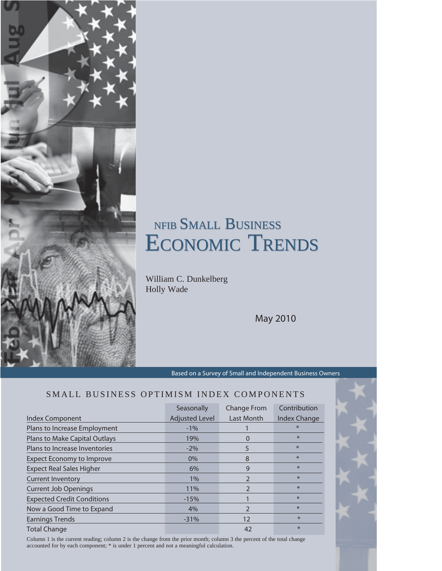# NFIB SMALL BUSINESS NFIB SMALL BUSINESS ECONOMIC TRENDS ECONOMIC TRENDS

William C. Dunkelberg Holly Wade

May 2010

Based on a Survey of Small and Independent Business Owners

### SMALL BUSINESS OPTIMISM INDEX COMPONENTS

|                                   | Seasonally            | <b>Change From</b> | Contribution |
|-----------------------------------|-----------------------|--------------------|--------------|
| Index Component                   | <b>Adjusted Level</b> | Last Month         | Index Change |
| Plans to Increase Employment      | $-1\%$                |                    | $\ast$       |
| Plans to Make Capital Outlays     | 19%                   | O                  | $\ast$       |
| Plans to Increase Inventories     | $-2\%$                | 5                  | $\ast$       |
| <b>Expect Economy to Improve</b>  | $0\%$                 | 8                  | $\ast$       |
| <b>Expect Real Sales Higher</b>   | 6%                    | 9                  | $*$          |
| <b>Current Inventory</b>          | 1%                    | $\overline{2}$     | $\ast$       |
| <b>Current Job Openings</b>       | 11%                   | $\mathcal{P}$      | $\ast$       |
| <b>Expected Credit Conditions</b> | $-15%$                |                    | $*$          |
| Now a Good Time to Expand         | 4%                    | $\overline{2}$     | $*$          |
| <b>Earnings Trends</b>            | $-31%$                | 12                 | $\ast$       |
| <b>Total Change</b>               |                       | 42                 | $\ast$       |

Column 1 is the current reading; column 2 is the change from the prior month; column 3 the percent of the total change accounted for by each component; \* is under 1 percent and not a meaningful calculation.



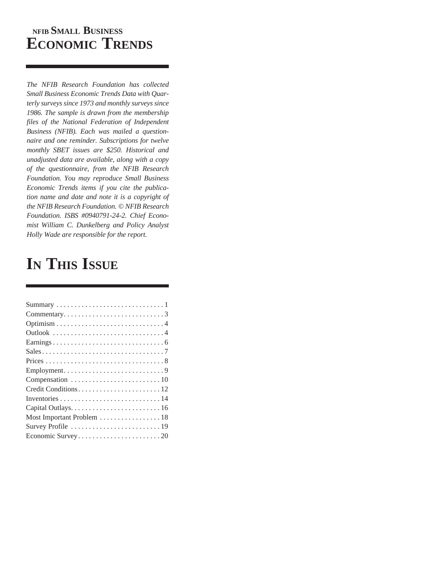## **NFIB SMALL BUSINESS ECONOMIC TRENDS**

*The NFIB Research Foundation has collected Small Business Economic Trends Data with Quarterly surveys since 1973 and monthly surveys since 1986. The sample is drawn from the membership files of the National Federation of Independent Business (NFIB). Each was mailed a questionnaire and one reminder. Subscriptions for twelve monthly SBET issues are \$250. Historical and unadjusted data are available, along with a copy of the questionnaire, from the NFIB Research Foundation. You may reproduce Small Business Economic Trends items if you cite the publication name and date and note it is a copyright of the NFIB Research Foundation. © NFIB Research Foundation. ISBS #0940791-24-2. Chief Economist William C. Dunkelberg and Policy Analyst Holly Wade are responsible for the report.*

## **IN THIS ISSUE**

| Most Important Problem  18 |
|----------------------------|
|                            |
|                            |
|                            |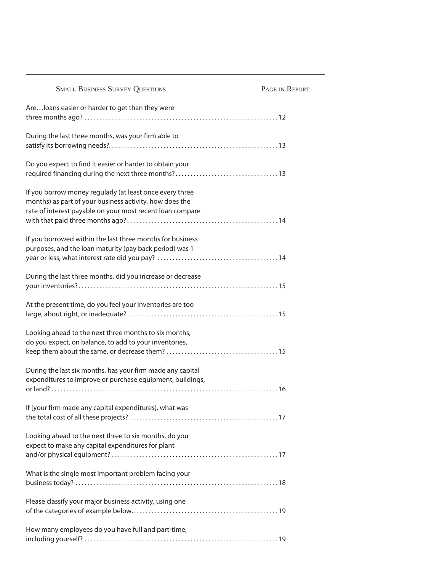| <b>SMALL BUSINESS SURVEY QUESTIONS</b>                                                                               | PAGE IN REPORT |
|----------------------------------------------------------------------------------------------------------------------|----------------|
| Are loans easier or harder to get than they were                                                                     |                |
|                                                                                                                      |                |
| During the last three months, was your firm able to                                                                  |                |
|                                                                                                                      |                |
| Do you expect to find it easier or harder to obtain your                                                             |                |
|                                                                                                                      |                |
| If you borrow money regularly (at least once every three                                                             |                |
| months) as part of your business activity, how does the<br>rate of interest payable on your most recent loan compare |                |
|                                                                                                                      |                |
| If you borrowed within the last three months for business                                                            |                |
| purposes, and the loan maturity (pay back period) was 1                                                              |                |
|                                                                                                                      |                |
| During the last three months, did you increase or decrease                                                           |                |
|                                                                                                                      |                |
| At the present time, do you feel your inventories are too                                                            |                |
|                                                                                                                      |                |
| Looking ahead to the next three months to six months,                                                                |                |
| do you expect, on balance, to add to your inventories,                                                               |                |
|                                                                                                                      |                |
| During the last six months, has your firm made any capital                                                           |                |
| expenditures to improve or purchase equipment, buildings,                                                            |                |
|                                                                                                                      |                |
| If [your firm made any capital expenditures], what was                                                               |                |
|                                                                                                                      |                |
| Looking ahead to the next three to six months, do you                                                                |                |
| expect to make any capital expenditures for plant                                                                    |                |
|                                                                                                                      |                |
| What is the single most important problem facing your                                                                |                |
|                                                                                                                      |                |
| Please classify your major business activity, using one                                                              |                |
|                                                                                                                      |                |
| How many employees do you have full and part-time,                                                                   |                |
|                                                                                                                      |                |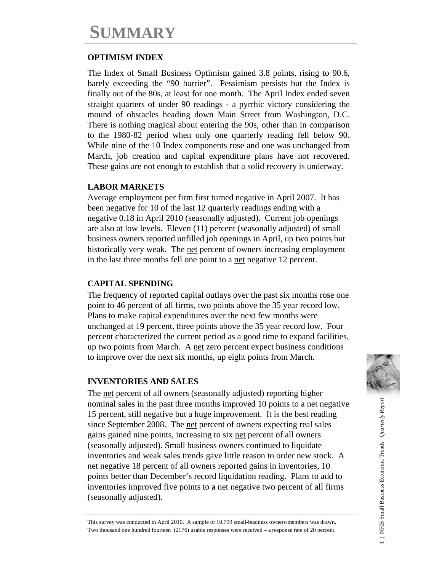## **SUMMARY**

## **OPTIMISM INDEX**

The Index of Small Business Optimism gained 3.8 points, rising to 90.6, barely exceeding the "90 barrier". Pessimism persists but the Index is finally out of the 80s, at least for one month. The April Index ended seven straight quarters of under 90 readings - a pyrrhic victory considering the mound of obstacles heading down Main Street from Washington, D.C. There is nothing magical about entering the 90s, other than in comparison to the 1980-82 period when only one quarterly reading fell below 90. While nine of the 10 Index components rose and one was unchanged from March, job creation and capital expenditure plans have not recovered. These gains are not enough to establish that a solid recovery is underway.

## **LABOR MARKETS**

Average employment per firm first turned negative in April 2007. It has been negative for 10 of the last 12 quarterly readings ending with a negative 0.18 in April 2010 (seasonally adjusted). Current job openings are also at low levels. Eleven (11) percent (seasonally adjusted) of small business owners reported unfilled job openings in April, up two points but historically very weak. The net percent of owners increasing employment in the last three months fell one point to a net negative 12 percent.

### **CAPITAL SPENDING**

The frequency of reported capital outlays over the past six months rose one point to 46 percent of all firms, two points above the 35 year record low. Plans to make capital expenditures over the next few months were unchanged at 19 percent, three points above the 35 year record low. Four percent characterized the current period as a good time to expand facilities, up two points from March. A net zero percent expect business conditions to improve over the next six months, up eight points from March.

### **INVENTORIES AND SALES**

The net percent of all owners (seasonally adjusted) reporting higher nominal sales in the past three months improved 10 points to a net negative 15 percent, still negative but a huge improvement. It is the best reading since September 2008. The net percent of owners expecting real sales gains gained nine points, increasing to six net percent of all owners (seasonally adjusted). Small business owners continued to liquidate inventories and weak sales trends gave little reason to order new stock. A net negative 18 percent of all owners reported gains in inventories, 10 points better than December's record liquidation reading. Plans to add to inventories improved five points to a net negative two percent of all firms (seasonally adjusted).



This survey was conducted in April 2010. A sample of 10,799 small-business owners/members was drawn. Two thousand one hundred fourteen (2176) usable responses were received – a response rate of 20 percent.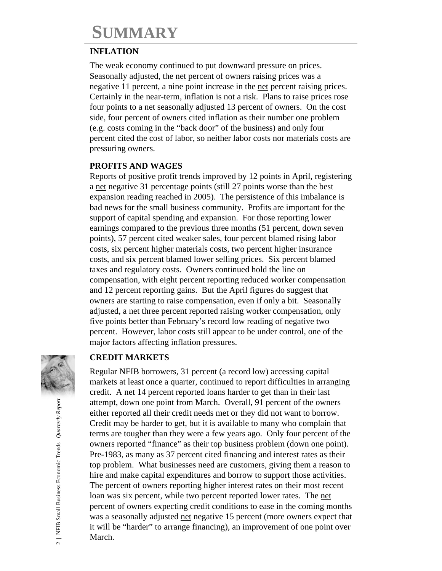## **SUMMARY**

### **INFLATION**

The weak economy continued to put downward pressure on prices. Seasonally adjusted, the net percent of owners raising prices was a negative 11 percent, a nine point increase in the net percent raising prices. Certainly in the near-term, inflation is not a risk. Plans to raise prices rose four points to a net seasonally adjusted 13 percent of owners. On the cost side, four percent of owners cited inflation as their number one problem (e.g. costs coming in the "back door" of the business) and only four percent cited the cost of labor, so neither labor costs nor materials costs are pressuring owners.

## **PROFITS AND WAGES**

Reports of positive profit trends improved by 12 points in April, registering a net negative 31 percentage points (still 27 points worse than the best expansion reading reached in 2005). The persistence of this imbalance is bad news for the small business community. Profits are important for the support of capital spending and expansion. For those reporting lower earnings compared to the previous three months (51 percent, down seven points), 57 percent cited weaker sales, four percent blamed rising labor costs, six percent higher materials costs, two percent higher insurance costs, and six percent blamed lower selling prices. Six percent blamed taxes and regulatory costs. Owners continued hold the line on compensation, with eight percent reporting reduced worker compensation and 12 percent reporting gains. But the April figures do suggest that owners are starting to raise compensation, even if only a bit. Seasonally adjusted, a net three percent reported raising worker compensation, only five points better than February's record low reading of negative two percent. However, labor costs still appear to be under control, one of the major factors affecting inflation pressures.

## **CREDIT MARKETS**

Regular NFIB borrowers, 31 percent (a record low) accessing capital markets at least once a quarter, continued to report difficulties in arranging credit. A net 14 percent reported loans harder to get than in their last attempt, down one point from March. Overall, 91 percent of the owners either reported all their credit needs met or they did not want to borrow. Credit may be harder to get, but it is available to many who complain that terms are tougher than they were a few years ago. Only four percent of the owners reported "finance" as their top business problem (down one point). Pre-1983, as many as 37 percent cited financing and interest rates as their top problem. What businesses need are customers, giving them a reason to hire and make capital expenditures and borrow to support those activities. The percent of owners reporting higher interest rates on their most recent loan was six percent, while two percent reported lower rates. The net percent of owners expecting credit conditions to ease in the coming months was a seasonally adjusted net negative 15 percent (more owners expect that it will be "harder" to arrange financing), an improvement of one point over March.

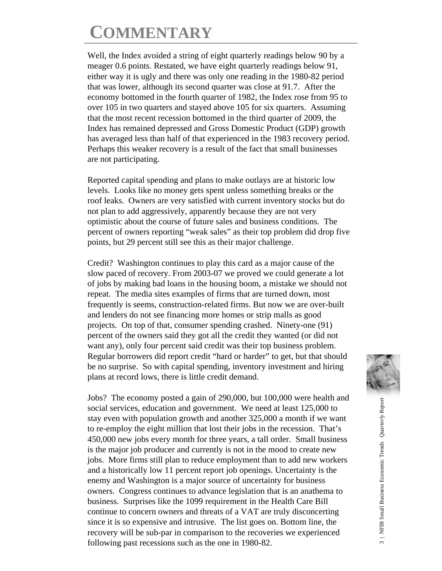## **COMMENTARY**

Well, the Index avoided a string of eight quarterly readings below 90 by a meager 0.6 points. Restated, we have eight quarterly readings below 91, either way it is ugly and there was only one reading in the 1980-82 period that was lower, although its second quarter was close at 91.7. After the economy bottomed in the fourth quarter of 1982, the Index rose from 95 to over 105 in two quarters and stayed above 105 for six quarters. Assuming that the most recent recession bottomed in the third quarter of 2009, the Index has remained depressed and Gross Domestic Product (GDP) growth has averaged less than half of that experienced in the 1983 recovery period. Perhaps this weaker recovery is a result of the fact that small businesses are not participating.

Reported capital spending and plans to make outlays are at historic low levels. Looks like no money gets spent unless something breaks or the roof leaks. Owners are very satisfied with current inventory stocks but do not plan to add aggressively, apparently because they are not very optimistic about the course of future sales and business conditions. The percent of owners reporting "weak sales" as their top problem did drop five points, but 29 percent still see this as their major challenge.

Credit? Washington continues to play this card as a major cause of the slow paced of recovery. From 2003-07 we proved we could generate a lot of jobs by making bad loans in the housing boom, a mistake we should not repeat. The media sites examples of firms that are turned down, most frequently is seems, construction-related firms. But now we are over-built and lenders do not see financing more homes or strip malls as good projects. On top of that, consumer spending crashed. Ninety-one (91) percent of the owners said they got all the credit they wanted (or did not want any), only four percent said credit was their top business problem. Regular borrowers did report credit "hard or harder" to get, but that should be no surprise. So with capital spending, inventory investment and hiring plans at record lows, there is little credit demand.

Jobs? The economy posted a gain of 290,000, but 100,000 were health and social services, education and government. We need at least 125,000 to stay even with population growth and another 325,000 a month if we want to re-employ the eight million that lost their jobs in the recession. That's 450,000 new jobs every month for three years, a tall order. Small business is the major job producer and currently is not in the mood to create new jobs. More firms still plan to reduce employment than to add new workers and a historically low 11 percent report job openings. Uncertainty is the enemy and Washington is a major source of uncertainty for business owners. Congress continues to advance legislation that is an anathema to business. Surprises like the 1099 requirement in the Health Care Bill continue to concern owners and threats of a VAT are truly disconcerting since it is so expensive and intrusive. The list goes on. Bottom line, the recovery will be sub-par in comparison to the recoveries we experienced following past recessions such as the one in 1980-82.

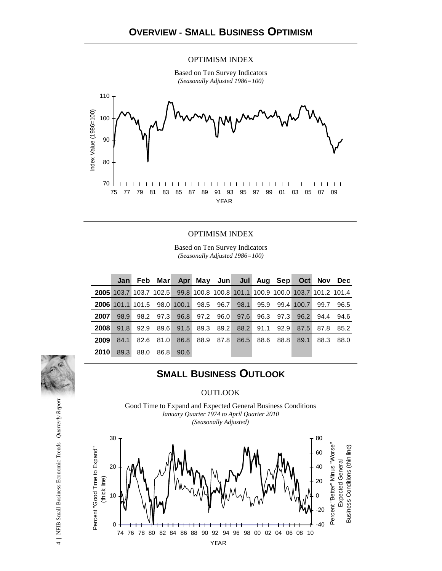#### OPTIMISM INDEX

Based on Ten Survey Indicators *(Seasonally Adjusted 1986=100)*



#### OPTIMISM INDEX

Based on Ten Survey Indicators *(Seasonally Adjusted 1986=100)*

|      |                                                                             |      |           |       |           | Jan Feb Mar Apr May Jun Jul Aug Sep Oct Nov Dec |           |                          |      |      |
|------|-----------------------------------------------------------------------------|------|-----------|-------|-----------|-------------------------------------------------|-----------|--------------------------|------|------|
|      | 2005 103.7 103.7 102.5 99.8 100.8 100.8 101.1 100.9 100.0 103.7 101.2 101.4 |      |           |       |           |                                                 |           |                          |      |      |
|      | 2006 101.1 101.5 98.0 100.1 98.5 96.7 98.1                                  |      |           |       |           |                                                 |           | 95.9 99.4 100.7          | 99.7 | 96.5 |
| 2007 | 98.9                                                                        |      |           |       |           | 98.2 97.3 96.8 97.2 96.0 97.6                   |           | 96.3 97.3 96.2 94.4 94.6 |      |      |
| 2008 | 91.8                                                                        | 92.9 | 89.6      | 91.5  | 89.3 89.2 | 88.2                                            | 91.1 92.9 | 87.5                     | 87.8 | 85.2 |
| 2009 | 84.1                                                                        |      | 82.6 81.0 | 86.8  | 88.9 87.8 | 86.5                                            | 88.6 88.8 | 89.1                     | 88.3 | 88.0 |
| 2010 | 89.3                                                                        | 88.0 | 86.8      | -90.6 |           |                                                 |           |                          |      |      |

## **SMALL BUSINESS OUTLOOK**

#### **OUTLOOK**

Good Time to Expand and Expected General Business Conditions *January Quarter 1974 to April Quarter 2010 (Seasonally Adjusted)*

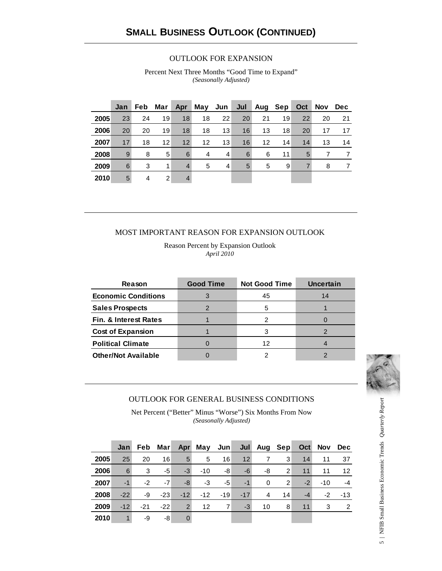#### OUTLOOK FOR EXPANSION

Percent Next Three Months "Good Time to Expand" *(Seasonally Adjusted)*

|      | Jan | Feb | Mar | Apr               | May Jun           |    | Jul |    | Aug Sep | Oct | Nov | <b>Dec</b> |
|------|-----|-----|-----|-------------------|-------------------|----|-----|----|---------|-----|-----|------------|
| 2005 | 23  | 24  | 19  | 18                | 18                | 22 | 20  | 21 | 19      | 22  | 20  | 21         |
| 2006 | 20  | 20  | 19  | 18                | 18                | 13 | 16  | 13 | 18      | 20  | 17  | 17         |
| 2007 | 17  | 18  | 12  | $12 \overline{ }$ | $12 \overline{ }$ | 13 | 16  | 12 | 14      | 14  | 13  | 14         |
| 2008 | 9   | 8   | 5   | 6                 | 4                 | 4  | 6   | 6  | 11      | 5   |     | 7          |
| 2009 | 6   | 3   | 1   | $\overline{4}$    | 5                 | 4  | 5   | 5  | 9       | 7   | 8   |            |
| 2010 | 5   | 4   | 2   | 4                 |                   |    |     |    |         |     |     |            |

#### MOST IMPORTANT REASON FOR EXPANSION OUTLOOK

Reason Percent by Expansion Outlook *April 2010*

| Reason                     | <b>Good Time</b> | <b>Not Good Time</b> | <b>Uncertain</b> |
|----------------------------|------------------|----------------------|------------------|
| <b>Economic Conditions</b> |                  | 45                   | 14               |
| <b>Sales Prospects</b>     |                  | 5                    |                  |
| Fin. & Interest Rates      |                  |                      |                  |
| <b>Cost of Expansion</b>   |                  |                      |                  |
| <b>Political Climate</b>   |                  | 12                   |                  |
| <b>Other/Not Available</b> |                  |                      |                  |



#### OUTLOOK FOR GENERAL BUSINESS CONDITIONS

Net Percent ("Better" Minus "Worse") Six Months From Now *(Seasonally Adjusted)*

|      | Jan l |       | Feb Mar |                | Apr May Jun |       |                 | Jul Aug Sep |                |      | Oct Nov | Dec            |
|------|-------|-------|---------|----------------|-------------|-------|-----------------|-------------|----------------|------|---------|----------------|
| 2005 | 25    | 20    | 16      | $5^{\circ}$    | 5           | 16    | 12 <sub>1</sub> |             | 3              | 14   | 11      | 37             |
| 2006 | 6     | 3     | -5      | $-3$           | $-10$       | -8    | -6              | -8          | $\overline{2}$ | 11   | 11      | 12             |
| 2007 | $-1$  | $-2$  | $-7$    | -8             | -3          | -5    | $-1$            | $\Omega$    | 2              | $-2$ | $-10$   | $-4$           |
| 2008 | $-22$ | -9    | $-23$   | $-12$          | $-12$       | $-19$ | $-17$           | 4           | 14             | $-4$ | $-2$    | $-13$          |
| 2009 | $-12$ | $-21$ | $-22$   | $\overline{2}$ | 12          | 7     | $-3$            | 10          | 8              | 11   | 3       | $\overline{2}$ |
| 2010 | 1     | -9    | -8      | $\mathbf 0$    |             |       |                 |             |                |      |         |                |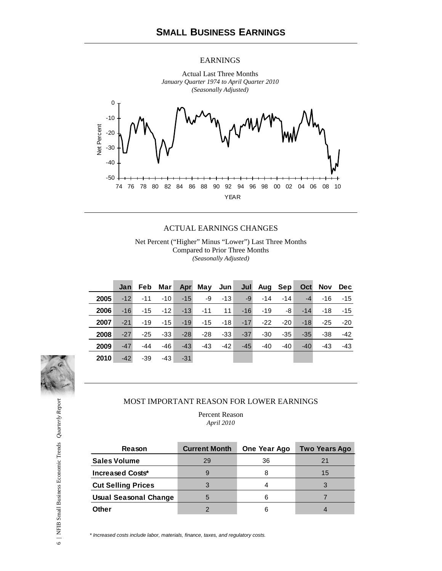#### EARNINGS



#### ACTUAL EARNINGS CHANGES

Net Percent ("Higher" Minus "Lower") Last Three Months Compared to Prior Three Months *(Seasonally Adjusted)*

|      | Jan   | Feb   | Mar∣  |       | Apr May Jun |                 |       | Jul Aug Sep |       |       | Oct Nov | <b>Dec</b> |
|------|-------|-------|-------|-------|-------------|-----------------|-------|-------------|-------|-------|---------|------------|
| 2005 | $-12$ | $-11$ | $-10$ | $-15$ | -9          | -13             | $-9$  | $-14$       | -14   | $-4$  | $-16$   | $-15$      |
| 2006 | $-16$ | $-15$ | $-12$ | $-13$ | $-11$       | 11 <sup>1</sup> | $-16$ | $-19$       | -8    | $-14$ | $-18$   | $-15$      |
| 2007 | $-21$ | $-19$ | $-15$ | $-19$ | $-15$       | $-18$           | $-17$ | $-22$       | $-20$ | $-18$ | -25     | $-20$      |
| 2008 | $-27$ | $-25$ | $-33$ | $-28$ | $-28$       | $-33$           | $-37$ | $-30$       | $-35$ | $-35$ | -38     | $-42$      |
| 2009 | $-47$ | $-44$ | -46   | $-43$ | $-43$       | $-42$           | $-45$ | $-40$       | $-40$ | $-40$ | $-43$   | $-43$      |
| 2010 | $-42$ | $-39$ | $-43$ | $-31$ |             |                 |       |             |       |       |         |            |



#### MOST IMPORTANT REASON FOR LOWER EARNINGS

Percent Reason *April 2010*

| Reason                       | <b>Current Month</b> | One Year Ago | <b>Two Years Ago</b> |
|------------------------------|----------------------|--------------|----------------------|
| <b>Sales Volume</b>          | 29                   | 36           | 21                   |
| Increased Costs*             |                      | 8            | 15                   |
| <b>Cut Selling Prices</b>    |                      |              |                      |
| <b>Usual Seasonal Change</b> |                      | 6            |                      |
| Other                        |                      | 6            |                      |

*\* Increased costs include labor, materials, finance, taxes, and regulatory costs.*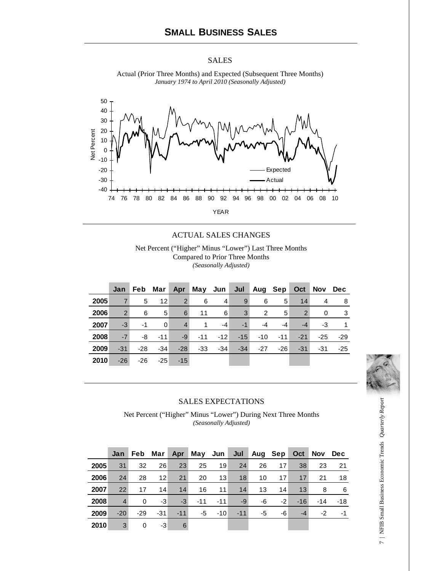#### SALES



Actual (Prior Three Months) and Expected (Subsequent Three Months) *January 1974 to April 2010 (Seasonally Adjusted)*

#### ACTUAL SALES CHANGES

Net Percent ("Higher" Minus "Lower") Last Three Months Compared to Prior Three Months *(Seasonally Adjusted)*

|      | Jan            | Feb   | Mar               | Apr            | May Jun      |       | Jul   |       | Aug Sep | Oct            | Nov | <b>Dec</b> |
|------|----------------|-------|-------------------|----------------|--------------|-------|-------|-------|---------|----------------|-----|------------|
| 2005 | $\overline{7}$ | 5     | $12 \overline{ }$ | $\overline{2}$ | 6            | 4     | 9     | 6     | 5       | 14             | 4   | 8          |
| 2006 | $\overline{2}$ | 6     | 5                 | 6              | 11           | 6     | 3     | 2     | 5       | $\overline{2}$ | 0   | 3          |
| 2007 | $-3$           | $-1$  | 0                 | $\overline{4}$ | $\mathbf{1}$ | $-4$  | $-1$  | -4    | $-4$    | $-4$           | -3  |            |
| 2008 | $-7$           | -8    | $-11$             | $-9$           | $-11$        | $-12$ | $-15$ | $-10$ | $-11$   | $-21$          | -25 | -29        |
| 2009 | $-31$          | $-28$ | $-34$             | $-28$          | $-33$        | $-34$ | $-34$ | $-27$ | $-26$   | $-31$          | -31 | -25        |
| 2010 | $-26$          | $-26$ | $-25$             | $-15$          |              |       |       |       |         |                |     |            |



#### SALES EXPECTATIONS

Net Percent ("Higher" Minus "Lower") During Next Three Months *(Seasonally Adjusted)*

|      | Jan            | Feb.  | Mar               |       | Apr May Jun |       | Jul   | Aug Sep |      | Oct   | <b>Nov</b> | <b>Dec</b> |
|------|----------------|-------|-------------------|-------|-------------|-------|-------|---------|------|-------|------------|------------|
| 2005 | 31             | 32    | 26                | 23    | 25          | 19    | 24    | 26      | 17   | 38    | 23         | 21         |
| 2006 | 24             | 28    | $12 \overline{ }$ | 21    | 20          | 13    | 18    | 10      | 17   | 17    | 21         | 18         |
| 2007 | 22             | 17    | 14                | 14    | 16          | 11    | 14    | 13      | 14   | 13    | 8          | 6          |
| 2008 | $\overline{4}$ | 0     | -3                | $-3$  | $-11$       | $-11$ | -9    | -6      | $-2$ | $-16$ | $-14$      | $-18$      |
| 2009 | $-20$          | $-29$ | -31               | $-11$ | -5          | $-10$ | $-11$ | -5      | -6   | $-4$  | -2         | -1         |
| 2010 | 3              | 0     | -3                | 6     |             |       |       |         |      |       |            |            |

7 | NFIB Small Business Economic Trends Quarterly Report 7 | NFIB Small Business Economic Trends *Quarterly Report*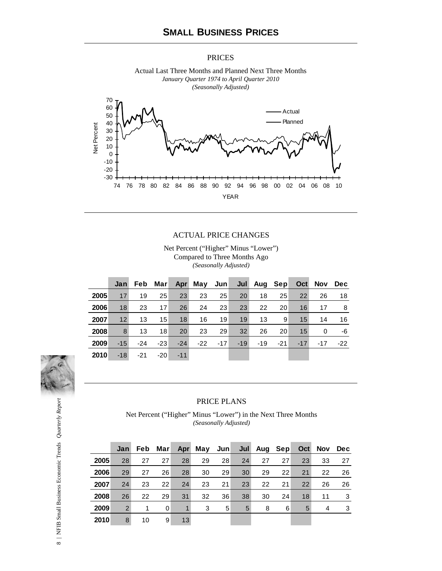#### PRICES



Actual Last Three Months and Planned Next Three Months

#### ACTUAL PRICE CHANGES

Net Percent ("Higher" Minus "Lower") Compared to Three Months Ago *(Seasonally Adjusted)*

|      | Jan   | <b>Feb</b> | Marl  |       | Apr May Jun Jul Aug Sep Oct |       |       |       |       |       | Nov   | Dec   |
|------|-------|------------|-------|-------|-----------------------------|-------|-------|-------|-------|-------|-------|-------|
| 2005 | 17    | 19         | 25    | 23    | 23                          | 25    | 20    | 18    | 25    | 22    | 26    | 18    |
| 2006 | 18    | 23         | 17    | 26    | 24                          | 23    | 23    | 22    | 20    | 16    | 17    | -8    |
| 2007 | 12    | 13         | 15    | 18    | 16                          | 19    | 19    | 13    | 9     | 15    | 14    | 16    |
| 2008 | 8     | 13         | 18    | 20    | 23                          | 29    | 32    | 26    | 20    | 15    | 0     | -6    |
| 2009 | $-15$ | $-24$      | $-23$ | $-24$ | $-22$                       | $-17$ | $-19$ | $-19$ | $-21$ | $-17$ | $-17$ | $-22$ |
| 2010 | $-18$ | $-21$      | $-20$ | $-11$ |                             |       |       |       |       |       |       |       |



#### PRICE PLANS

Net Percent ("Higher" Minus "Lower") in the Next Three Months *(Seasonally Adjusted)*

|      | Jan |    | Feb Marl | Apr | May Jun |    | Jul | Aug Sep |    | Oct | Nov | Dec |
|------|-----|----|----------|-----|---------|----|-----|---------|----|-----|-----|-----|
| 2005 | 28  | 27 | 27       | 28  | 29      | 28 | 24  | 27      | 27 | 23  | 33  | 27  |
| 2006 | 29  | 27 | 26       | 28  | 30      | 29 | 30  | 29      | 22 | 21  | 22  | 26  |
| 2007 | 24  | 23 | 22       | 24  | 23      | 21 | 23  | 22      | 21 | 22  | 26  | 26  |
| 2008 | 26  | 22 | 29       | 31  | 32      | 36 | 38  | 30      | 24 | 18  | 11  | 3   |
| 2009 | 2   | 1  | 0        | 1   | 3       | 5  | 5   | 8       | 6  | 5   | 4   | 3   |
| 2010 | 8   | 10 | 9        | 13  |         |    |     |         |    |     |     |     |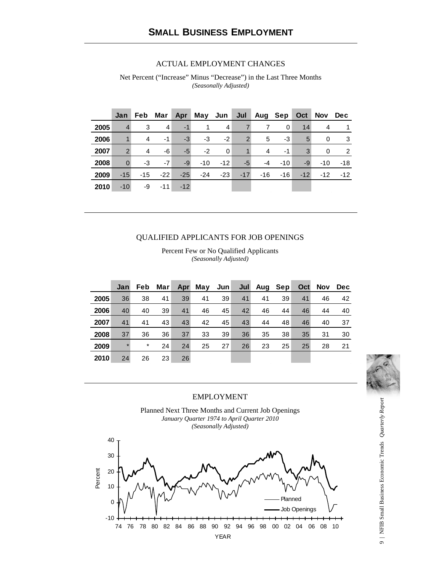#### ACTUAL EMPLOYMENT CHANGES

Net Percent ("Increase" Minus "Decrease") in the Last Three Months *(Seasonally Adjusted)*

|      | Jan           | Feb   | Mar   | Apr   | May Jun Jul |       |       | Aug Sep |       | Oct   | Nov   | Dec           |
|------|---------------|-------|-------|-------|-------------|-------|-------|---------|-------|-------|-------|---------------|
| 2005 |               | 3     | 4     | $-1$  |             | 4     |       |         | 0     | 14    | 4     |               |
| 2006 |               | 4     | $-1$  | $-3$  | $-3$        | $-2$  | 2     | 5       | -3    | 5     | 0     | 3             |
| 2007 | $\mathcal{P}$ | 4     | -6    | $-5$  | $-2$        | 0     |       | 4       | $-1$  | 3     | 0     | $\mathcal{P}$ |
| 2008 |               | -3    | $-7$  | $-9$  | $-10$       | $-12$ | $-5$  | -4      | $-10$ | -9    | $-10$ | -18           |
| 2009 | $-15$         | $-15$ | $-22$ | $-25$ | $-24$       | $-23$ | $-17$ | $-16$   | $-16$ | $-12$ | $-12$ | $-12$         |
| 2010 | $-10$         | -9    | $-11$ | $-12$ |             |       |       |         |       |       |       |               |

#### QUALIFIED APPLICANTS FOR JOB OPENINGS

Percent Few or No Qualified Applicants *(Seasonally Adjusted)*

|      | Jan     |         | Feb Mar | Apr | May | Jun |    | Jul Aug Sep |    |    | Oct Nov Dec |    |
|------|---------|---------|---------|-----|-----|-----|----|-------------|----|----|-------------|----|
| 2005 | 36      | 38      | 41      | 39  | 41  | 39  | 41 | 41          | 39 | 41 | 46          | 42 |
| 2006 | 40      | 40      | 39      | 41  | 46  | 45  | 42 | 46          | 44 | 46 | 44          | 40 |
| 2007 | 41      | 41      | 43      | 43  | 42  | 45  | 43 | 44          | 48 | 46 | 40          | 37 |
| 2008 | 37      | 36      | 36      | 37  | 33  | 39  | 36 | 35          | 38 | 35 | 31          | 30 |
| 2009 | $\star$ | $\star$ | 24      | 24  | 25  | 27  | 26 | 23          | 25 | 25 | 28          | 21 |
| 2010 | 24      | 26      | 23      | 26  |     |     |    |             |    |    |             |    |



#### EMPLOYMENT

Planned Next Three Months and Current Job Openings *January Quarter 1974 to April Quarter 2010 (Seasonally Adjusted)*

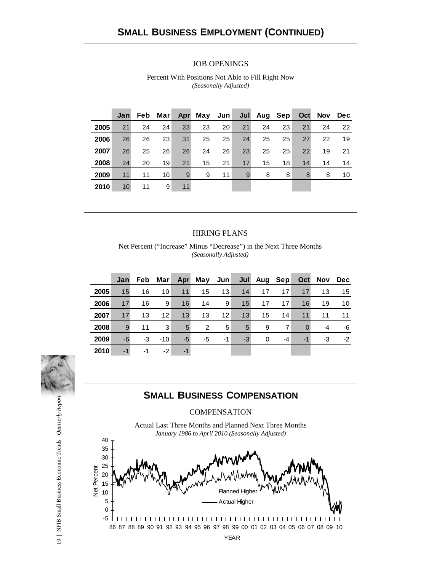#### JOB OPENINGS

| Percent With Positions Not Able to Fill Right Now |  |
|---------------------------------------------------|--|
| (Seasonally Adjusted)                             |  |

|      | Jan             |    | Feb Marl |    | Apr May Jun |    |    | Jul Aug Sep |    |    | Oct Nov | Dec |
|------|-----------------|----|----------|----|-------------|----|----|-------------|----|----|---------|-----|
| 2005 | 21              | 24 | 24       | 23 | 23          | 20 | 21 | 24          | 23 | 21 | 24      | 22  |
| 2006 | 26              | 26 | 23       | 31 | 25          | 25 | 24 | 25          | 25 | 27 | 22      | 19  |
| 2007 | 26              | 25 | 26       | 26 | 24          | 26 | 23 | 25          | 25 | 22 | 19      | 21  |
| 2008 | 24              | 20 | 19       | 21 | 15          | 21 | 17 | 15          | 18 | 14 | 14      | 14  |
| 2009 | 11              | 11 | 10       | 9  | 9           | 11 | 9  | 8           | 8  | 8  | 8       | 10  |
| 2010 | 10 <sup>1</sup> | 11 | 9        | 11 |             |    |    |             |    |    |         |     |

#### HIRING PLANS

Net Percent ("Increase" Minus "Decrease") in the Next Three Months *(Seasonally Adjusted)*

|      | Jan  | <b>Feb</b> | Mar∣              |      | Apr May Jun    |                   |      | Jul Aug Sep |      |          | Oct Nov | Dec  |
|------|------|------------|-------------------|------|----------------|-------------------|------|-------------|------|----------|---------|------|
| 2005 | 15   | 16         | 10                | 11   | 15             | 13                | 14   | 17          | 17   | 17       | 13      | 15   |
| 2006 | 17   | 16         | 9                 | 16   | 14             | 9                 | 15   | 17          | 17   | 16       | 19      | 10   |
| 2007 | 17   | 13         | $12 \overline{ }$ | 13   | 13             | $12 \overline{ }$ | 13   | 15          | 14   | 11       | 11      | 11   |
| 2008 | 9    | 11         | 3                 | 5    | $\overline{2}$ | 5                 | 5    | 9           | 7    | $\Omega$ | -4      | -6   |
| 2009 | -6   | -3         | $-10$             | $-5$ | -5             | -1                | $-3$ | $\Omega$    | $-4$ | $-1$     | -3      | $-2$ |
| 2010 | $-1$ | -1         | $-2$              | $-1$ |                |                   |      |             |      |          |         |      |



## **SMALL BUSINESS COMPENSATION**

#### **COMPENSATION**

Actual Last Three Months and Planned Next Three Months *January 1986 to April 2010 (Seasonally Adjusted)*

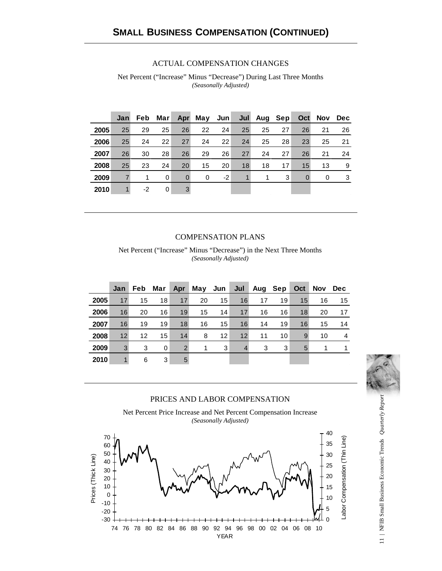#### ACTUAL COMPENSATION CHANGES

Net Percent ("Increase" Minus "Decrease") During Last Three Months *(Seasonally Adjusted)*

|      | Jan |    | Feb Mar |          | Apr May Jun |      |    | Jul Aug Sep |    |          | Oct Nov | <b>Dec</b> |
|------|-----|----|---------|----------|-------------|------|----|-------------|----|----------|---------|------------|
| 2005 | 25  | 29 | 25      | 26       | 22          | 24   | 25 | 25          | 27 | 26       | 21      | 26         |
| 2006 | 25  | 24 | 22      | 27       | 24          | 22   | 24 | 25          | 28 | 23       | 25      | 21         |
| 2007 | 26  | 30 | 28      | 26       | 29          | 26   | 27 | 24          | 27 | 26       | 21      | 24         |
| 2008 | 25  | 23 | 24      | 20       | 15          | 20   | 18 | 18          | 17 | 15       | 13      | 9          |
| 2009 |     | 1  | 0       | $\Omega$ | $\Omega$    | $-2$ |    |             | 3  | $\Omega$ | 0       | 3          |
| 2010 |     | -2 | 0       | 3        |             |      |    |             |    |          |         |            |

#### COMPENSATION PLANS

Net Percent ("Increase" Minus "Decrease") in the Next Three Months *(Seasonally Adjusted)*

|      | Jan | Feb. | Mar | Apr | May Jun |    |    | Jul Aug Sep |    | Oct |    | Nov Dec      |
|------|-----|------|-----|-----|---------|----|----|-------------|----|-----|----|--------------|
| 2005 | 17  | 15   | 18  | 17  | 20      | 15 | 16 | 17          | 19 | 15  | 16 | 15           |
| 2006 | 16  | 20   | 16  | 19  | 15      | 14 | 17 | 16          | 16 | 18  | 20 | 17           |
| 2007 | 16  | 19   | 19  | 18  | 16      | 15 | 16 | 14          | 19 | 16  | 15 | 14           |
| 2008 | 12  | 12   | 15  | 14  | 8       | 12 | 12 | 11          | 10 | 9   | 10 | 4            |
| 2009 | 3   | 3    | 0   | 2   | 1       | 3  | 4  | 3           | 3  | 5   | 1  | $\mathbf{1}$ |
| 2010 | 1   | 6    | 3   | 5   |         |    |    |             |    |     |    |              |



#### PRICES AND LABOR COMPENSATION





11 | NFIB Small Business Economic Trends Quarterly Report 11 | NFIB Small Business Economic Trends *Quarterly Report*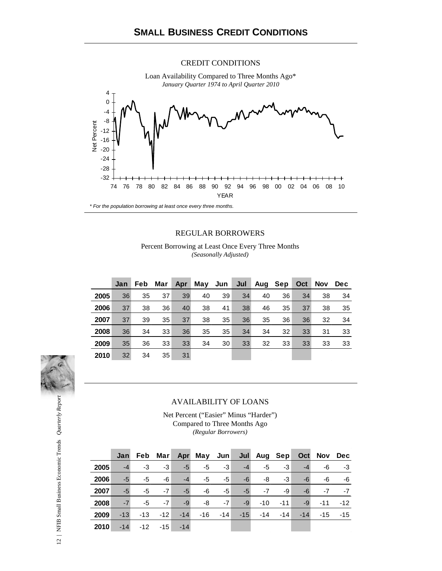#### CREDIT CONDITIONS



#### REGULAR BORROWERS

Percent Borrowing at Least Once Every Three Months *(Seasonally Adjusted)*

|      | Jan | <b>Feb</b> | Mar | Apr | May Jun $ $ |    | Jul | Aug | Sep | <b>Oct</b> | <b>Nov</b> | Dec |
|------|-----|------------|-----|-----|-------------|----|-----|-----|-----|------------|------------|-----|
| 2005 | 36  | 35         | 37  | 39  | 40          | 39 | 34  | 40  | 36  | 34         | 38         | 34  |
| 2006 | 37  | 38         | 36  | 40  | 38          | 41 | 38  | 46  | 35  | 37         | 38         | 35  |
| 2007 | 37  | 39         | 35  | 37  | 38          | 35 | 36  | 35  | 36  | 36         | 32         | 34  |
| 2008 | 36  | 34         | 33  | 36  | 35          | 35 | 34  | 34  | 32  | 33         | 31         | 33  |
| 2009 | 35  | 36         | 33  | 33  | 34          | 30 | 33  | 32  | 33  | 33         | 33         | 33  |
| 2010 | 32  | 34         | 35  | 31  |             |    |     |     |     |            |            |     |



#### AVAILABILITY OF LOANS

Net Percent ("Easier" Minus "Harder") Compared to Three Months Ago *(Regular Borrowers)*

|      | Jan   |       |       |       | Feb Mar Apr May Jun Jul Aug Sep |            |       |       |       |       | Oct Nov Dec |       |
|------|-------|-------|-------|-------|---------------------------------|------------|-------|-------|-------|-------|-------------|-------|
| 2005 | -4    | -3    | $-3$  | $-5$  | -5                              | $-3$       | $-4$  | -5    | $-3$  | $-4$  | -6          | $-3$  |
| 2006 | -5    | -5    | -6    | $-4$  | -5                              | -5         | -6    | -8    | $-3$  | -6    | -6          | -6    |
| 2007 | $-5$  | -5    | $-7$  | $-5$  | -6                              | -5         | $-5$  | $-7$  | -9    | -6    | $-7$        | $-7$  |
| 2008 | $-7$  | -5    | $-7$  | $-9$  | -8                              | $-7$       | $-9$  | $-10$ | --11  | $-9$  | $-11$       | $-12$ |
| 2009 | $-13$ | $-13$ | $-12$ | $-14$ |                                 | $-16 - 14$ | $-15$ | $-14$ | $-14$ | $-14$ | $-15$       | $-15$ |
| 2010 | $-14$ | $-12$ | $-15$ | $-14$ |                                 |            |       |       |       |       |             |       |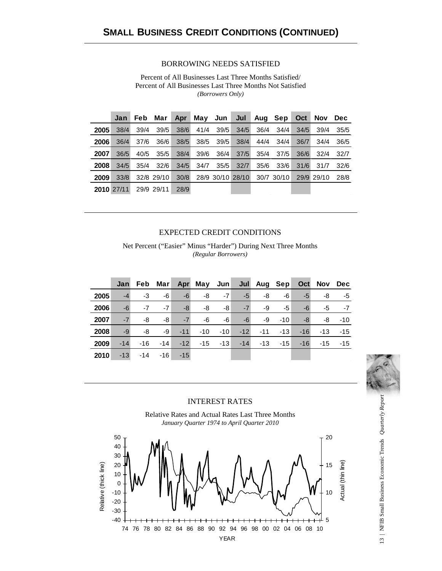#### BORROWING NEEDS SATISFIED

Percent of All Businesses Last Three Months Satisfied/ Percent of All Businesses Last Three Months Not Satisfied *(Borrowers Only)*

|      | Jan        | Feb  | Mar        | Apr  |      | May Jun Jul |                  | Aug Sep |            | Oct  | Nov        | Dec  |
|------|------------|------|------------|------|------|-------------|------------------|---------|------------|------|------------|------|
| 2005 | 38/4       | 39/4 | 39/5       | 38/6 | 41/4 | 39/5        | 34/5             | 36/4    | 34/4       | 34/5 | 39/4       | 35/5 |
| 2006 | 36/4       | 37/6 | 36/6       | 38/5 | 38/5 | 39/5        | 38/4             | 44/4    | 34/4       | 36/7 | 34/4       | 36/5 |
| 2007 | 36/5       | 40/5 | 35/5       | 38/4 | 39/6 | 36/4        | 37/5             | 35/4    | 37/5       | 36/6 | 32/4       | 32/7 |
| 2008 | 34/5       | 35/4 | 32/6       | 34/5 | 34/7 | 35/5        | 32/7             | 35/6    | 33/6       | 31/6 | 31/7       | 32/6 |
| 2009 | 33/8       |      | 32/8 29/10 | 30/8 |      |             | 28/9 30/10 28/10 |         | 30/7 30/10 |      | 29/9 29/10 | 28/8 |
|      | 2010 27/11 |      | 29/9 29/11 | 28/9 |      |             |                  |         |            |      |            |      |

#### EXPECTED CREDIT CONDITIONS

Net Percent ("Easier" Minus "Harder") During Next Three Months *(Regular Borrowers)*

|      | Jan   | Feb Mar |            |       | Apr May Jun |       |       | Jul Aug Sep |       |       | Oct Nov Dec |       |
|------|-------|---------|------------|-------|-------------|-------|-------|-------------|-------|-------|-------------|-------|
| 2005 | $-4$  | -3      | -6         | $-6$  | -8          | $-7$  | $-5$  | -8          | -6    | $-5$  | -8          | -5    |
| 2006 | -6    | $-7$    | $-7$       | -8    | -8          | -8    | $-7$  | -9          | -5    | -6    | -5          | $-7$  |
| 2007 | $-7$  | -8      | -8         | $-7$  | -6          | -6    | -6    | -9          | $-10$ | -8    | -8          | $-10$ |
| 2008 | -9    | -8      | -9         |       | $-11 - 10$  | $-10$ | $-12$ | $-11$       | $-13$ | $-16$ | $-13$       | $-15$ |
| 2009 | $-14$ |         | $-16 - 14$ | $-12$ | $-15$       | $-13$ | $-14$ | $-13$       | $-15$ | $-16$ | $-15$       | $-15$ |
| 2010 | $-13$ | $-14$   | $-16$      | $-15$ |             |       |       |             |       |       |             |       |



#### INTEREST RATES





13 | NFIB Small Business Economic Trends Quarterly Report 13 | NFIB Small Business Economic Trends *Quarterly Report*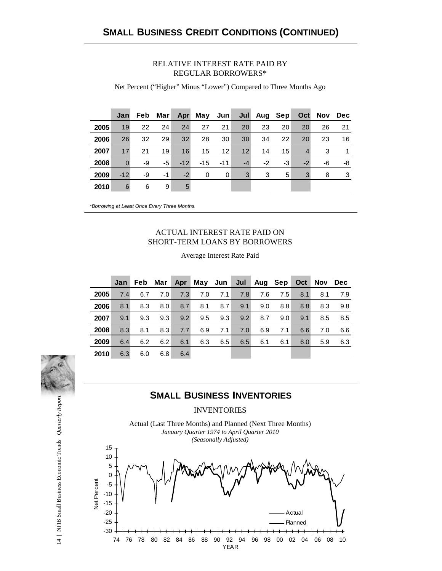#### RELATIVE INTEREST RATE PAID BY REGULAR BORROWERS\*

Net Percent ("Higher" Minus "Lower") Compared to Three Months Ago

|      | Jan   |    | Feb Mar |       | Apr May Jun Jul Aug Sep |                   |      |      |    |      | Oct Nov Dec |    |
|------|-------|----|---------|-------|-------------------------|-------------------|------|------|----|------|-------------|----|
| 2005 | 19    | 22 | 24      | 24    | 27                      | 21                | 20   | 23   | 20 | 20   | 26          | 21 |
| 2006 | 26    | 32 | 29      | 32    | 28                      | 30                | 30   | 34   | 22 | 20   | 23          | 16 |
| 2007 | 17    | 21 | 19      | 16    | 15                      | $12 \overline{ }$ | 12   | 14   | 15 | 4    | 3           | 1  |
| 2008 |       | -9 | $-5$    | $-12$ | $-15$                   | $-11$             | $-4$ | $-2$ | -3 | $-2$ | -6          | -8 |
| 2009 | $-12$ | -9 | $-1$    | $-2$  | 0                       | 0                 | 3    | 3    | 5  | 3    | 8           | 3  |
| 2010 | 6     | 6  | 9       | 5     |                         |                   |      |      |    |      |             |    |

*\*Borrowing at Least Once Every Three Months.*

#### ACTUAL INTEREST RATE PAID ON SHORT-TERM LOANS BY BORROWERS

|      | Jan |     | Feb Mar |     | Apr May Jun |     |     | Jul Aug Sep |     | Oct | Nov | <b>Dec</b> |
|------|-----|-----|---------|-----|-------------|-----|-----|-------------|-----|-----|-----|------------|
| 2005 | 7.4 | 6.7 | 7.0     | 7.3 | 7.0         | 7.1 | 7.8 | 7.6         | 7.5 | 8.1 | 8.1 | 7.9        |
| 2006 | 8.1 | 8.3 | 8.0     | 8.7 | 8.1         | 8.7 | 9.1 | 9.0         | 8.8 | 8.8 | 8.3 | 9.8        |
| 2007 | 9.1 | 9.3 | 9.3     | 9.2 | 9.5         | 9.3 | 9.2 | 8.7         | 9.0 | 9.1 | 8.5 | 8.5        |
| 2008 | 8.3 | 8.1 | 8.3     | 7.7 | 6.9         | 7.1 | 7.0 | 6.9         | 7.1 | 6.6 | 7.0 | 6.6        |
| 2009 | 6.4 | 6.2 | 6.2     | 6.1 | 6.3         | 6.5 | 6.5 | 6.1         | 6.1 | 6.0 | 5.9 | 6.3        |
| 2010 | 6.3 | 6.0 | 6.8     | 6.4 |             |     |     |             |     |     |     |            |

#### Average Interest Rate Paid

## **SMALL BUSINESS INVENTORIES**

INVENTORIES

Actual (Last Three Months) and Planned (Next Three Months) *January Quarter 1974 to April Quarter 2010 (Seasonally Adjusted)*



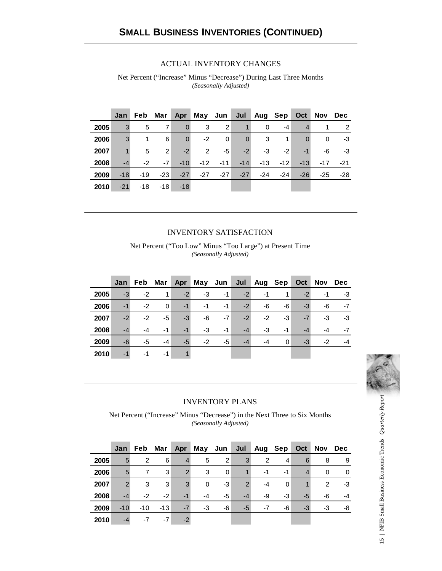#### ACTUAL INVENTORY CHANGES

Net Percent ("Increase" Minus "Decrease") During Last Three Months *(Seasonally Adjusted)*

|      | Jan   |      |                |                | Feb Mar Apr May Jun Jul |                   |                | Aug Sep Oct |            |              | Nov Dec     |            |
|------|-------|------|----------------|----------------|-------------------------|-------------------|----------------|-------------|------------|--------------|-------------|------------|
| 2005 | 3     | 5    | 7              | $\Omega$       | 3                       | $\overline{2}$    | $\mathbf{1}$   | $\Omega$    | $-4$       | 4            |             | 2          |
| 2006 | 3     | 1    | 6              | $\overline{0}$ | $-2$                    | 0                 | $\overline{0}$ | 3           | 1          | $\mathbf{0}$ | $\mathbf 0$ | -3         |
| 2007 |       | 5    | $\overline{2}$ | $-2$           | 2                       | -5                | $-2$           | $-3$        | $-2$       | $-1$         | -6          | -3         |
| 2008 | $-4$  | $-2$ | $-7$           | $-10$          |                         | $-12$ $-11$ $-14$ |                |             | $-13 - 12$ | $-13$        |             | $-17 - 21$ |
| 2009 | $-18$ |      | $-19 - 23$     | $-27$          | -27                     | $-27$             | $-27$          | -24         | $-24$      | $-26$        | -25         | -28        |
| 2010 | $-21$ | -18  |                | $-18 - 18$     |                         |                   |                |             |            |              |             |            |

#### INVENTORY SATISFACTION

Net Percent ("Too Low" Minus "Too Large") at Present Time *(Seasonally Adjusted)*

|      | Jan  | Feb  | Mar  |      | Apr May Jun Jul Aug Sep |      |      |      |          | Oct  | Nov | Dec  |
|------|------|------|------|------|-------------------------|------|------|------|----------|------|-----|------|
| 2005 | $-3$ | $-2$ | 1    | $-2$ | $-3$                    | $-1$ | $-2$ | -1   | 1        | $-2$ | -1  | $-3$ |
| 2006 | $-1$ | $-2$ | 0    | $-1$ | $-1$                    | $-1$ | $-2$ | -6   | -6       | $-3$ | -6  | $-7$ |
| 2007 | $-2$ | $-2$ | -5   | $-3$ | -6                      | $-7$ | $-2$ | $-2$ | -3       | $-7$ | -3  | $-3$ |
| 2008 | $-4$ | -4   | $-1$ | $-1$ | $-3$                    | $-1$ | $-4$ | -3   | $-1$     | $-4$ | -4  | $-7$ |
| 2009 | -6   | -5   | -4   | $-5$ | $-2$                    | -5   | $-4$ | -4   | $\Omega$ | $-3$ | -2  | $-4$ |
| 2010 | -1   | -1   | -1   |      |                         |      |      |      |          |      |     |      |



#### INVENTORY PLANS

Net Percent ("Increase" Minus "Decrease") in the Next Three to Six Months *(Seasonally Adjusted)*

|      | Jan           | Feb            | Mar   | Apr            | May Jun $\vert$ |                | Jul           | Aug Sep |    | Oct  | Nov Dec |    |
|------|---------------|----------------|-------|----------------|-----------------|----------------|---------------|---------|----|------|---------|----|
| 2005 | 5             | $\overline{2}$ | 6     | $\overline{4}$ | 5               | $\overline{2}$ | 3             | 2       | 4  | 6    | 8       | 9  |
| 2006 | 5             | 7              | 3     | 2              | 3               | $\Omega$       |               | $-1$    | -1 | 4    | 0       | 0  |
| 2007 | $\mathcal{P}$ | 3              | 3     | 3              | $\Omega$        | -3             | $\mathcal{P}$ | -4      | 0  |      | 2       | -3 |
| 2008 | $-4$          | $-2$           | $-2$  | $-1$           | $-4$            | -5             | -4            | -9      | -3 | -5   | -6      | -4 |
| 2009 | $-10$         | $-10$          | $-13$ | $-7$           | $-3$            | -6             | $-5$          | $-7$    | -6 | $-3$ | -3      | -8 |
| 2010 | -4            | -7             | $-7$  | $-2$           |                 |                |               |         |    |      |         |    |

15 | NFIB Small Business Economic Trends Quarterly Report 15 | NFIB Small Business Economic Trends *Quarterly Report*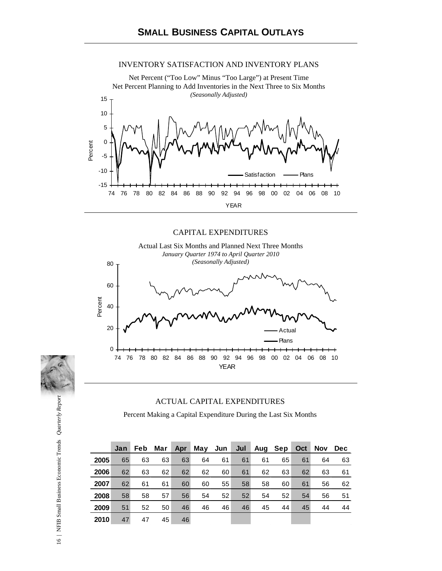#### INVENTORY SATISFACTION AND INVENTORY PLANS



#### CAPITAL EXPENDITURES





Percent Making a Capital Expenditure During the Last Six Months

|      | Jan | <b>Feb</b> | Mar | Apr |    | May Jun | Jul | Aug | Sep | Oct | <b>Nov</b> | <b>Dec</b> |
|------|-----|------------|-----|-----|----|---------|-----|-----|-----|-----|------------|------------|
| 2005 | 65  | 63         | 63  | 63  | 64 | 61      | 61  | 61  | 65  | 61  | 64         | 63         |
| 2006 | 62  | 63         | 62  | 62  | 62 | 60      | 61  | 62  | 63  | 62  | 63         | 61         |
| 2007 | 62  | 61         | 61  | 60  | 60 | 55      | 58  | 58  | 60  | 61  | 56         | 62         |
| 2008 | 58  | 58         | 57  | 56  | 54 | 52      | 52  | 54  | 52  | 54  | 56         | 51         |
| 2009 | 51  | 52         | 50  | 46  | 46 | 46      | 46  | 45  | 44  | 45  | 44         | 44         |
| 2010 | 47  | 47         | 45  | 46  |    |         |     |     |     |     |            |            |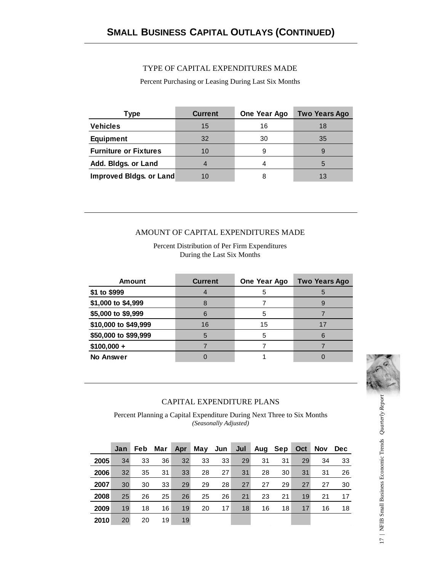#### TYPE OF CAPITAL EXPENDITURES MADE

Percent Purchasing or Leasing During Last Six Months

| Гуре                         | <b>Current</b> | One Year Ago | <b>Two Years Ago</b> |
|------------------------------|----------------|--------------|----------------------|
| <b>Vehicles</b>              | 15             | 16           | 18                   |
| <b>Equipment</b>             | 32             | 30           | 35                   |
| <b>Furniture or Fixtures</b> | 10             | 9            |                      |
| Add. Bldgs. or Land          |                |              | 5                    |
| Improved Bidgs. or Land      | 10             |              | 13                   |

#### AMOUNT OF CAPITAL EXPENDITURES MADE

Percent Distribution of Per Firm Expenditures During the Last Six Months

| <b>Amount</b>        | <b>Current</b> | One Year Ago | <b>Two Years Ago</b> |
|----------------------|----------------|--------------|----------------------|
| \$1 to \$999         |                | 5            |                      |
| \$1,000 to \$4,999   |                |              |                      |
| \$5,000 to \$9,999   | 6              | 5            |                      |
| \$10,000 to \$49,999 | 16             | 15           | 17                   |
| \$50,000 to \$99,999 | $\overline{5}$ | 5            |                      |
| $$100,000 +$         |                |              |                      |
| No Answer            |                |              |                      |



#### CAPITAL EXPENDITURE PLANS

Percent Planning a Capital Expenditure During Next Three to Six Months *(Seasonally Adjusted)*

|      | Jan | <b>Feb</b> | Mar | Apr | May Jun |    | Jul | Aug Sep |    | Oct | <b>Nov</b> | Dec. |
|------|-----|------------|-----|-----|---------|----|-----|---------|----|-----|------------|------|
| 2005 | 34  | 33         | 36  | 32  | 33      | 33 | 29  | 31      | 31 | 29  | 34         | 33   |
| 2006 | 32  | 35         | 31  | 33  | 28      | 27 | 31  | 28      | 30 | 31  | 31         | 26   |
| 2007 | 30  | 30         | 33  | 29  | 29      | 28 | 27  | 27      | 29 | 27  | 27         | 30   |
| 2008 | 25  | 26         | 25  | 26  | 25      | 26 | 21  | 23      | 21 | 19  | 21         | 17   |
| 2009 | 19  | 18         | 16  | 19  | 20      | 17 | 18  | 16      | 18 | 17  | 16         | 18   |
| 2010 | 20  | 20         | 19  | 19  |         |    |     |         |    |     |            |      |

17 | NFIB Small Business Economic Trends Quarterly Report 17 | NFIB Small Business Economic Trends *Quarterly Report*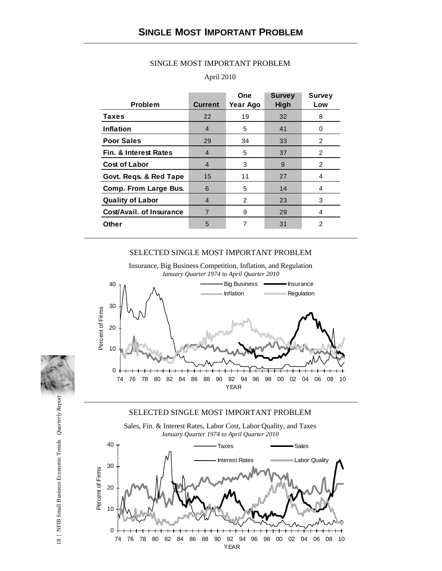|                                  |                | One      | <b>Survey</b> | <b>Survey</b>  |
|----------------------------------|----------------|----------|---------------|----------------|
| <b>Problem</b>                   | <b>Current</b> | Year Ago | <b>High</b>   | Low            |
| <b>Taxes</b>                     | 22             | 19       | 32            | 8              |
| Inflation                        | 4              | 5        | 41            | 0              |
| <b>Poor Sales</b>                | 29             | 34       | 33            | 2              |
| <b>Fin. &amp; Interest Rates</b> | 4              | 5        | 37            | 2              |
| <b>Cost of Labor</b>             | 4              | 3        | 9             | 2              |
| Govt. Reqs. & Red Tape           | 15             | 11       | 27            | 4              |
| Comp. From Large Bus.            | 6              | 5        | 14            | 4              |
| <b>Quality of Labor</b>          | 4              | 2        | 23            | 3              |
| Cost/Avail. of Insurance         | $\overline{7}$ | 9        | 29            | 4              |
| Other                            | 5              | 7        | 31            | $\overline{2}$ |
|                                  |                |          |               |                |

#### SINGLE MOST IMPORTANT PROBLEM

#### April 2010

#### SELECTED SINGLE MOST IMPORTANT PROBLEM

Insurance, Big Business Competition, Inflation, and Regulation *January Quarter 1974 to April Quarter 2010*



#### SELECTED SINGLE MOST IMPORTANT PROBLEM





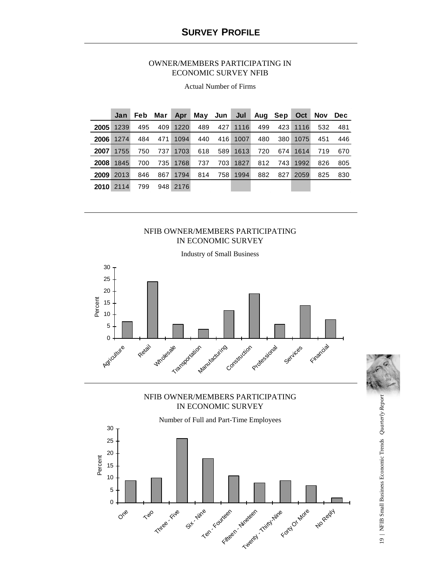#### OWNER/MEMBERS PARTICIPATING IN ECONOMIC SURVEY NFIB

|             | Jan  | Feb | Mar | Apr  |     | May Jun Jul |      | Aug Sep |       | Oct  | Nov | <b>Dec</b> |
|-------------|------|-----|-----|------|-----|-------------|------|---------|-------|------|-----|------------|
| 2005        | 1239 | 495 | 409 | 1220 | 489 | 427         | 1116 | 499     | 423   | 1116 | 532 | 481        |
| <b>2006</b> | 1274 | 484 | 471 | 1094 | 440 | 416         | 1007 | 480     | 380 l | 1075 | 451 | 446        |
| 2007        | 1755 | 750 | 737 | 1703 | 618 | 589         | 1613 | 720     | 674   | 1614 | 719 | 670        |
| 2008        | 1845 | 700 | 735 | 1768 | 737 | 703         | 1827 | 812     | 743   | 1992 | 826 | 805        |
| 2009        | 2013 | 846 | 867 | 1794 | 814 | 758         | 1994 | 882     | 827   | 2059 | 825 | 830        |
| <b>2010</b> | 2114 | 799 | 948 | 2176 |     |             |      |         |       |      |     |            |

Actual Number of Firms

#### NFIB OWNER/MEMBERS PARTICIPATING IN ECONOMIC SURVEY



### NFIB OWNER/MEMBERS PARTICIPATING IN ECONOMIC SURVEY